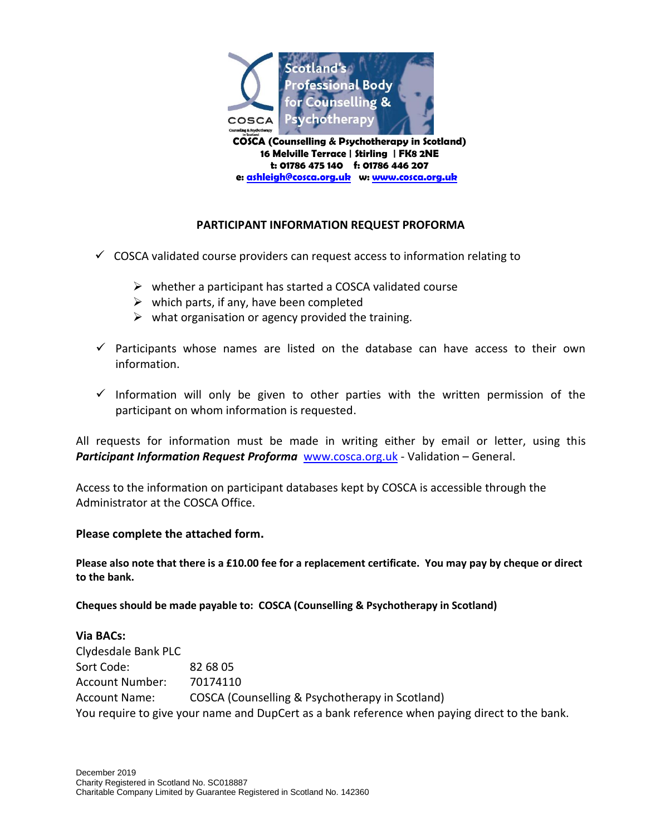

**t: 01786 475 140 f: 01786 446 207 e[: ashleigh@cosca.org.uk](mailto:ashleigh@cosca.org.uk) w: [www.cosca.org.uk](http://www.cosca.org.uk/)**

## **PARTICIPANT INFORMATION REQUEST PROFORMA**

- $\checkmark$  COSCA validated course providers can request access to information relating to
	- $\triangleright$  whether a participant has started a COSCA validated course
	- $\triangleright$  which parts, if any, have been completed
	- $\triangleright$  what organisation or agency provided the training.
- $\checkmark$  Participants whose names are listed on the database can have access to their own information.
- $\checkmark$  Information will only be given to other parties with the written permission of the participant on whom information is requested.

All requests for information must be made in writing either by email or letter, using this *Participant Information Request Proforma* [www.cosca.org.uk](http://www.cosca.org.uk/) - Validation – General.

Access to the information on participant databases kept by COSCA is accessible through the Administrator at the COSCA Office.

## **Please complete the attached form.**

**Please also note that there is a £10.00 fee for a replacement certificate. You may pay by cheque or direct to the bank.**

**Cheques should be made payable to: COSCA (Counselling & Psychotherapy in Scotland)**

**Via BACs:** Clydesdale Bank PLC Sort Code: 82 68 05 Account Number: 70174110 Account Name: COSCA (Counselling & Psychotherapy in Scotland) You require to give your name and DupCert as a bank reference when paying direct to the bank.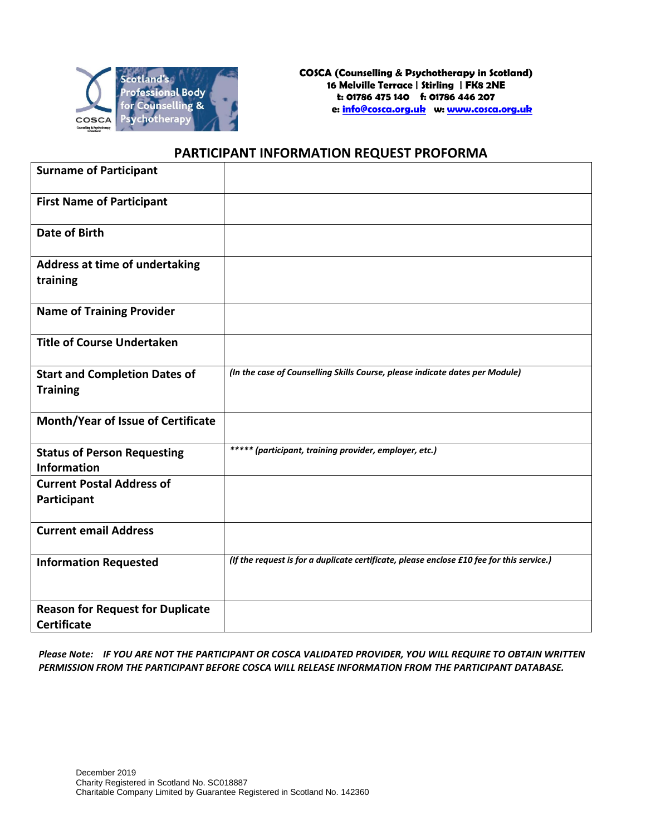

## **PARTICIPANT INFORMATION REQUEST PROFORMA**

| <b>Surname of Participant</b>              |                                                                                           |
|--------------------------------------------|-------------------------------------------------------------------------------------------|
| <b>First Name of Participant</b>           |                                                                                           |
| <b>Date of Birth</b>                       |                                                                                           |
| Address at time of undertaking<br>training |                                                                                           |
| <b>Name of Training Provider</b>           |                                                                                           |
| <b>Title of Course Undertaken</b>          |                                                                                           |
| <b>Start and Completion Dates of</b>       | (In the case of Counselling Skills Course, please indicate dates per Module)              |
| <b>Training</b>                            |                                                                                           |
| Month/Year of Issue of Certificate         |                                                                                           |
| <b>Status of Person Requesting</b>         | ***** (participant, training provider, employer, etc.)                                    |
| <b>Information</b>                         |                                                                                           |
| <b>Current Postal Address of</b>           |                                                                                           |
| Participant                                |                                                                                           |
| <b>Current email Address</b>               |                                                                                           |
| <b>Information Requested</b>               | (If the request is for a duplicate certificate, please enclose £10 fee for this service.) |
| <b>Reason for Request for Duplicate</b>    |                                                                                           |
| <b>Certificate</b>                         |                                                                                           |

*Please Note: IF YOU ARE NOT THE PARTICIPANT OR COSCA VALIDATED PROVIDER, YOU WILL REQUIRE TO OBTAIN WRITTEN PERMISSION FROM THE PARTICIPANT BEFORE COSCA WILL RELEASE INFORMATION FROM THE PARTICIPANT DATABASE.*